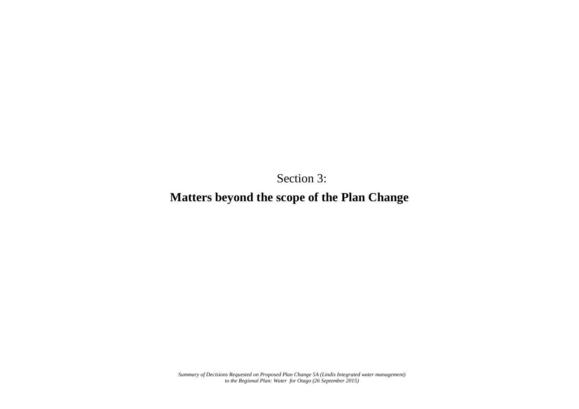Section 3:

**Matters beyond the scope of the Plan Change**

*Summary of Decisions Requested on Proposed Plan Change 5A (Lindis Integrated water management) to the Regional Plan: Water for Otago (26 September 2015)*